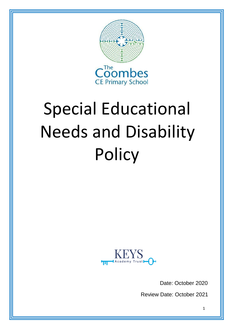

# Special Educational Needs and Disability **Policy**



Date: October 2020

Review Date: October 2021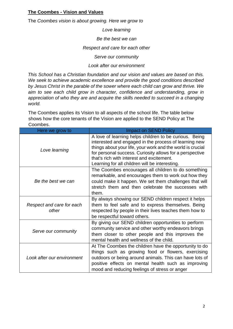#### **The Coombes - Vision and Values**

The *Coombes vision is about growing. Here we grow to* 

*Love learning*

*Be the best we can*

*Respect and care for each other*

*Serve our community*

#### *Look after our environment*

*This School has a Christian foundation and our vision and values are based on this. We seek to achieve academic excellence and provide the good conditions described by Jesus Christ in the parable of the sower where each child can grow and thrive. We aim to see each child grow in character, confidence and understanding, grow in appreciation of who they are and acquire the skills needed to succeed in a changing world.*

The Coombes applies its Vision to all aspects of the school life. The table below shows how the core tenants of the Vision are applied to the SEND Policy at The Coombes.

| Here we grow to                    | <b>Impact on SEND Policy</b>                                                                                                                                                                                                                                                                                                             |
|------------------------------------|------------------------------------------------------------------------------------------------------------------------------------------------------------------------------------------------------------------------------------------------------------------------------------------------------------------------------------------|
| Love learning                      | A love of learning helps children to be curious. Being<br>interested and engaged in the process of learning new<br>things about your life, your work and the world is crucial<br>for personal success. Curiosity allows for a perspective<br>that's rich with interest and excitement.<br>Learning for all children will be interesting. |
| Be the best we can                 | The Coombes encourages all children to do something<br>remarkable, and encourages them to work out how they<br>could make it happen. We set them challenges that will<br>stretch them and then celebrate the successes with<br>them.                                                                                                     |
| Respect and care for each<br>other | By always showing our SEND children respect it helps<br>them to feel safe and to express themselves. Being<br>respected by people in their lives teaches them how to<br>be respectful toward others.                                                                                                                                     |
| Serve our community                | By giving our SEND children opportunities to perform<br>community service and other worthy endeavors brings<br>them closer to other people and this improves the<br>mental health and wellness of the child.                                                                                                                             |
| Look after our environment         | At The Coombes the children have the opportunity to do<br>things such as growing food or flowers, exercising<br>outdoors or being around animals. This can have lots of<br>positive effects on mental health such as improving<br>mood and reducing feelings of stress or anger                                                          |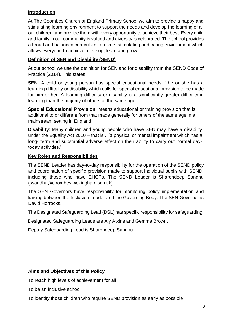#### **Introduction**

At The Coombes Church of England Primary School we aim to provide a happy and stimulating learning environment to support the needs and develop the learning of all our children, and provide them with every opportunity to achieve their best. Every child and family in our community is valued and diversity is celebrated. The school provides a broad and balanced curriculum in a safe, stimulating and caring environment which allows everyone to achieve, develop, learn and grow.

# **Definition of SEN and Disability (SEND)**

At our school we use the definition for SEN and for disability from the SEND Code of Practice (2014). This states:

**SEN**: A child or young person has special educational needs if he or she has a learning difficulty or disability which calls for special educational provision to be made for him or her. A learning difficulty or disability is a significantly greater difficulty in learning than the majority of others of the same age.

**Special Educational Provision**: means educational or training provision that is additional to or different from that made generally for others of the same age in a mainstream setting in England.

**Disability**: Many children and young people who have SEN may have a disability under the Equality Act 2010 – that is ...'a physical or mental impairment which has a long- term and substantial adverse effect on their ability to carry out normal daytoday activities.'

#### **Key Roles and Responsibilities**

The SEND Leader has day-to-day responsibility for the operation of the SEND policy and coordination of specific provision made to support individual pupils with SEND, including those who have EHCPs. The SEND Leader is Sharondeep Sandhu (ssandhu@coombes.wokingham.sch.uk)

The SEN Governors have responsibility for monitoring policy implementation and liaising between the Inclusion Leader and the Governing Body. The SEN Governor is David Horrocks.

The Designated Safeguarding Lead (DSL) has specific responsibility for safeguarding.

Designated Safeguarding Leads are Aly Atkins and Gemma Brown.

Deputy Safeguarding Lead is Sharondeep Sandhu.

# **Aims and Objectives of this Policy**

To reach high levels of achievement for all

To be an inclusive school

To identify those children who require SEND provision as early as possible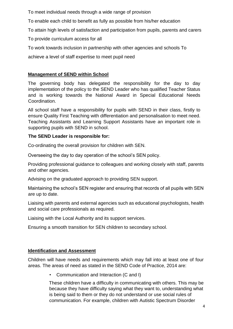To meet individual needs through a wide range of provision

To enable each child to benefit as fully as possible from his/her education

To attain high levels of satisfaction and participation from pupils, parents and carers

To provide curriculum access for all

To work towards inclusion in partnership with other agencies and schools To

achieve a level of staff expertise to meet pupil need

## **Management of SEND within School**

The governing body has delegated the responsibility for the day to day implementation of the policy to the SEND Leader who has qualified Teacher Status and is working towards the National Award in Special Educational Needs Coordination.

All school staff have a responsibility for pupils with SEND in their class, firstly to ensure Quality First Teaching with differentiation and personalisation to meet need. Teaching Assistants and Learning Support Assistants have an important role in supporting pupils with SEND in school.

#### **The SEND Leader is responsible for:**

Co-ordinating the overall provision for children with SEN.

Overseeing the day to day operation of the school's SEN policy.

Providing professional guidance to colleagues and working closely with staff, parents and other agencies.

Advising on the graduated approach to providing SEN support.

Maintaining the school's SEN register and ensuring that records of all pupils with SEN are up to date.

Liaising with parents and external agencies such as educational psychologists, health and social care professionals as required.

Liaising with the Local Authority and its support services.

Ensuring a smooth transition for SEN children to secondary school.

# **Identification and Assessment**

Children will have needs and requirements which may fall into at least one of four areas. The areas of need as stated in the SEND Code of Practice, 2014 are:

• Communication and Interaction (C and I)

These children have a difficulty in communicating with others. This may be because they have difficulty saying what they want to, understanding what is being said to them or they do not understand or use social rules of communication. For example, children with Autistic Spectrum Disorder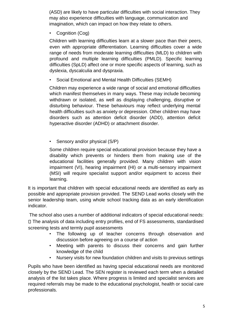(ASD) are likely to have particular difficulties with social interaction. They may also experience difficulties with language, communication and imagination, which can impact on how they relate to others.

Cognition (Cog)

Children with learning difficulties learn at a slower pace than their peers, even with appropriate differentiation. Learning difficulties cover a wide range of needs from moderate learning difficulties (MLD) to children with profound and multiple learning difficulties (PMLD). Specific learning difficulties (SpLD) affect one or more specific aspects of learning, such as dyslexia, dyscalculia and dyspraxia.

• Social Emotional and Mental Health Difficulties (SEMH)

Children may experience a wide range of social and emotional difficulties which manifest themselves in many ways. These may include becoming withdrawn or isolated, as well as displaying challenging, disruptive or disturbing behaviour. These behaviours may reflect underlying mental health difficulties such as anxiety or depression. Other children may have disorders such as attention deficit disorder (ADD), attention deficit hyperactive disorder (ADHD) or attachment disorder.

Sensory and/or physical (S/P)

Some children require special educational provision because they have a disability which prevents or hinders them from making use of the educational facilities generally provided. Many children with vision impairment (VI), hearing impairment (HI) or a multi-sensory impairment (MSI) will require specialist support and/or equipment to access their learning.

It is important that children with special educational needs are identified as early as possible and appropriate provision provided. The SEND Lead works closely with the senior leadership team, using whole school tracking data as an early identification indicator.

The school also uses a number of additional indicators of special educational needs: The analysis of data including entry profiles, end of FS assessments, standardised screening tests and termly pupil assessments

- The following up of teacher concerns through observation and discussion before agreeing on a course of action
- Meeting with parents to discuss their concerns and gain further knowledge of the child
- Nursery visits for new foundation children and visits to previous settings

Pupils who have been identified as having special educational needs are monitored closely by the SEND Lead. The SEN register is reviewed each term when a detailed analysis of the list takes place. Where progress is limited and specialist services are required referrals may be made to the educational psychologist, health or social care professionals.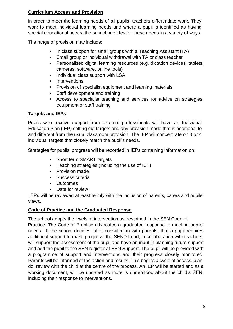#### **Curriculum Access and Provision**

In order to meet the learning needs of all pupils, teachers differentiate work. They work to meet individual learning needs and where a pupil is identified as having special educational needs, the school provides for these needs in a variety of ways.

The range of provision may include:

- In class support for small groups with a Teaching Assistant (TA)
- Small group or individual withdrawal with TA or class teacher
- Personalised digital learning resources (e.g. dictation devices, tablets, cameras, software, online tools)
- Individual class support with LSA
- **Interventions**
- Provision of specialist equipment and learning materials
- Staff development and training
- Access to specialist teaching and services for advice on strategies, equipment or staff training

#### **Targets and IEPs**

Pupils who receive support from external professionals will have an Individual Education Plan (IEP) setting out targets and any provision made that is additional to and different from the usual classroom provision. The IEP will concentrate on 3 or 4 individual targets that closely match the pupil's needs.

Strategies for pupils' progress will be recorded in IEPs containing information on:

- Short term SMART targets
- Teaching strategies (including the use of ICT)
- Provision made
- Success criteria
- Outcomes
- Date for review

IEPs will be reviewed at least termly with the inclusion of parents, carers and pupils' views.

# **Code of Practice and the Graduated Response**

The school adopts the levels of intervention as described in the SEN Code of Practice. The Code of Practice advocates a graduated response to meeting pupils' needs. If the school decides, after consultation with parents, that a pupil requires additional support to make progress, the SEND Lead, in collaboration with teachers, will support the assessment of the pupil and have an input in planning future support and add the pupil to the SEN register at SEN Support. The pupil will be provided with a programme of support and interventions and their progress closely monitored. Parents will be informed of the action and results. This begins a cycle of assess, plan, do, review with the child at the centre of the process. An IEP will be started and as a working document, will be updated as more is understood about the child's SEN, including their response to interventions.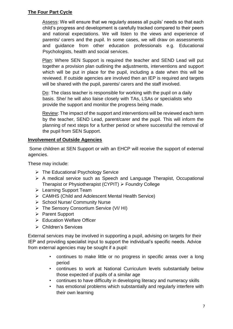#### **The Four Part Cycle**

Assess: We will ensure that we regularly assess all pupils' needs so that each child's progress and development is carefully tracked compared to their peers and national expectations. We will listen to the views and experience of parents/ carers and the pupil. In some cases, we will draw on assessments and guidance from other education professionals e.g. Educational Psychologists, health and social services.

Plan: Where SEN Support is required the teacher and SEND Lead will put together a provision plan outlining the adjustments, interventions and support which will be put in place for the pupil, including a date when this will be reviewed. If outside agencies are involved then an IEP is required and targets will be shared with the pupil, parents/ carers and the staff involved.

Do: The class teacher is responsible for working with the pupil on a daily basis. She/ he will also liaise closely with TAs, LSAs or specialists who provide the support and monitor the progress being made.

Review: The impact of the support and interventions will be reviewed each term by the teacher, SEND Lead, parent/carer and the pupil. This will inform the planning of next steps for a further period or where successful the removal of the pupil from SEN Support.

# **Involvement of Outside Agencies**

Some children at SEN Support or with an EHCP will receive the support of external agencies.

These may include:

- $\triangleright$  The Educational Psychology Service
- $\triangleright$  A medical service such as Speech and Language Therapist, Occupational Therapist or Physiotherapist (CYPIT)  $\triangleright$  Foundry College
- **Exercise** Support Team
- CAMHS (Child and Adolescent Mental Health Service)
- $\triangleright$  School Nurse/ Community Nurse
- The Sensory Consortium Service (VI/ HI)
- ▶ Parent Support
- $\triangleright$  Education Welfare Officer
- Children's Services

External services may be involved in supporting a pupil, advising on targets for their IEP and providing specialist input to support the individual's specific needs. Advice from external agencies may be sought if a pupil:

- continues to make little or no progress in specific areas over a long period
- continues to work at National Curriculum levels substantially below those expected of pupils of a similar age
- continues to have difficulty in developing literacy and numeracy skills
- has emotional problems which substantially and regularly interfere with their own learning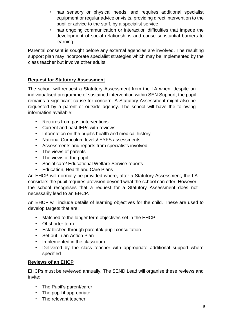- has sensory or physical needs, and requires additional specialist equipment or regular advice or visits, providing direct intervention to the pupil or advice to the staff, by a specialist service
- has ongoing communication or interaction difficulties that impede the development of social relationships and cause substantial barriers to learning

Parental consent is sought before any external agencies are involved. The resulting support plan may incorporate specialist strategies which may be implemented by the class teacher but involve other adults.

## **Request for Statutory Assessment**

The school will request a Statutory Assessment from the LA when, despite an individualised programme of sustained intervention within SEN Support, the pupil remains a significant cause for concern. A Statutory Assessment might also be requested by a parent or outside agency. The school will have the following information available:

- Records from past interventions
- Current and past IEPs with reviews
- Information on the pupil's health and medical history
- National Curriculum levels/ EYFS assessments
- Assessments and reports from specialists involved
- The views of parents
- The views of the pupil
- Social care/ Educational Welfare Service reports
- Education, Health and Care Plans

An EHCP will normally be provided where, after a Statutory Assessment, the LA considers the pupil requires provision beyond what the school can offer. However, the school recognises that a request for a Statutory Assessment does not necessarily lead to an EHCP.

An EHCP will include details of learning objectives for the child. These are used to develop targets that are:

- Matched to the longer term objectives set in the EHCP
- Of shorter term
- Established through parental/ pupil consultation
- Set out in an Action Plan
- Implemented in the classroom
- Delivered by the class teacher with appropriate additional support where specified

#### **Reviews of an EHCP**

EHCPs must be reviewed annually. The SEND Lead will organise these reviews and invite:

- The Pupil's parent/carer
- The pupil if appropriate
- The relevant teacher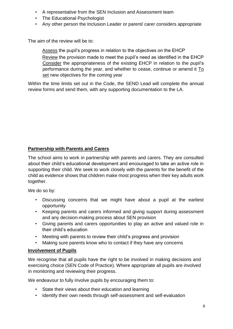- A representative from the SEN Inclusion and Assessment team
- The Educational Psychologist
- Any other person the Inclusion Leader or parent/ carer considers appropriate

The aim of the review will be to:

Assess the pupil's progress in relation to the objectives on the EHCP

Review the provision made to meet the pupil's need as identified in the EHCP Consider the appropriateness of the existing EHCP in relation to the pupil's performance during the year, and whether to cease, continue or amend it To set new objectives for the coming year

Within the time limits set out in the Code, the SEND Lead will complete the annual review forms and send them, with any supporting documentation to the LA.

# **Partnership with Parents and Carers**

The school aims to work in partnership with parents and carers. They are consulted about their child's educational development and encouraged to take an active role in supporting their child. We seek to work closely with the parents for the benefit of the child as evidence shows that children make most progress when their key adults work together.

We do so by:

- Discussing concerns that we might have about a pupil at the earliest opportunity
- Keeping parents and carers informed and giving support during assessment and any decision-making process about SEN provision
- Giving parents and carers opportunities to play an active and valued role in their child's education
- Meeting with parents to review their child's progress and provision
- Making sure parents know who to contact if they have any concerns

#### **Involvement of Pupils**

We recognise that all pupils have the right to be involved in making decisions and exercising choice (SEN Code of Practice). Where appropriate all pupils are involved in monitoring and reviewing their progress.

We endeavour to fully involve pupils by encouraging them to:

- State their views about their education and learning
- Identify their own needs through self-assessment and self-evaluation